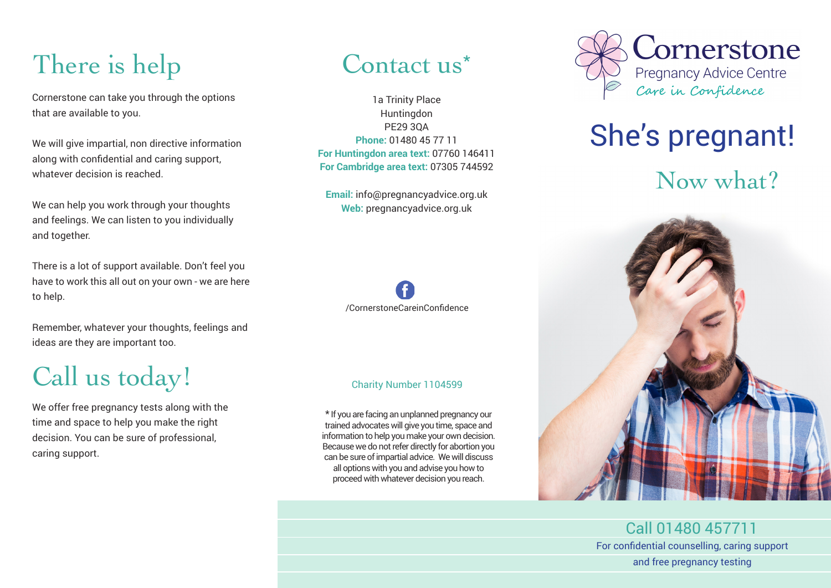# There is help

Cornerstone can take you through the options that are available to you.

We will give impartial, non directive information along with confidential and caring support, whatever decision is reached.

We can help you work through your thoughts and feelings. We can listen to you individually and together.

There is a lot of support available. Don't feel you have to work this all out on your own - we are here to help.

Remember, whatever your thoughts, feelings and ideas are they are important too.

## Call us today!

We offer free pregnancy tests along with the time and space to help you make the right decision. You can be sure of professional, caring support.

## Contact us<sup>\*</sup>

1a Trinity Place Huntingdon PE29 3QA **Phone:** 01480 45 77 11 **For Huntingdon area text:** 07760 146411 **For Cambridge area text:** 07305 744592

**Email:** info@pregnancyadvice.org.uk **Web:** pregnancyadvice.org.uk



#### Charity Number 1104599

\* If you are facing an unplanned pregnancy our trained advocates will give you time, space and information to help you make your own decision. Because we do not refer directly for abortion you can be sure of impartial advice. We will discuss all options with you and advise you how to proceed with whatever decision you reach.



# She's pregnant! Now what?



Call 01480 457711 For confidential counselling, caring support and free pregnancy testing